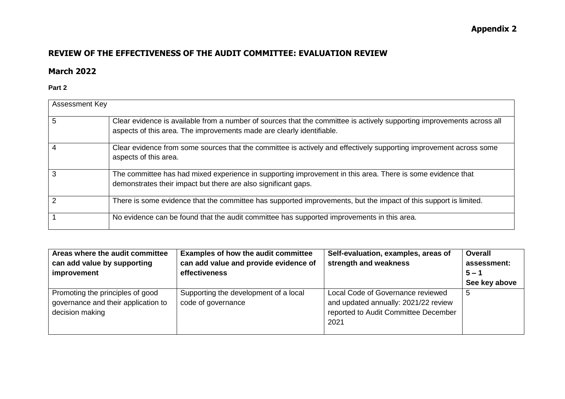## **Appendix 2**

## **REVIEW OF THE EFFECTIVENESS OF THE AUDIT COMMITTEE: EVALUATION REVIEW**

## **March 2022**

**Part 2**

| Assessment Key |                                                                                                                                                                                                 |
|----------------|-------------------------------------------------------------------------------------------------------------------------------------------------------------------------------------------------|
| 5              | Clear evidence is available from a number of sources that the committee is actively supporting improvements across all<br>aspects of this area. The improvements made are clearly identifiable. |
| 4              | Clear evidence from some sources that the committee is actively and effectively supporting improvement across some<br>aspects of this area.                                                     |
|                | The committee has had mixed experience in supporting improvement in this area. There is some evidence that<br>demonstrates their impact but there are also significant gaps.                    |
|                | There is some evidence that the committee has supported improvements, but the impact of this support is limited.                                                                                |
|                | No evidence can be found that the audit committee has supported improvements in this area.                                                                                                      |

| Areas where the audit committee                                                            | <b>Examples of how the audit committee</b>                  | Self-evaluation, examples, areas of                                                                                       | <b>Overall</b> |
|--------------------------------------------------------------------------------------------|-------------------------------------------------------------|---------------------------------------------------------------------------------------------------------------------------|----------------|
| can add value by supporting                                                                | can add value and provide evidence of                       | strength and weakness                                                                                                     | assessment:    |
| improvement                                                                                | effectiveness                                               |                                                                                                                           | $5 - 1$        |
|                                                                                            |                                                             |                                                                                                                           | See key above  |
| Promoting the principles of good<br>governance and their application to<br>decision making | Supporting the development of a local<br>code of governance | Local Code of Governance reviewed<br>and updated annually: 2021/22 review<br>reported to Audit Committee December<br>2021 | 5              |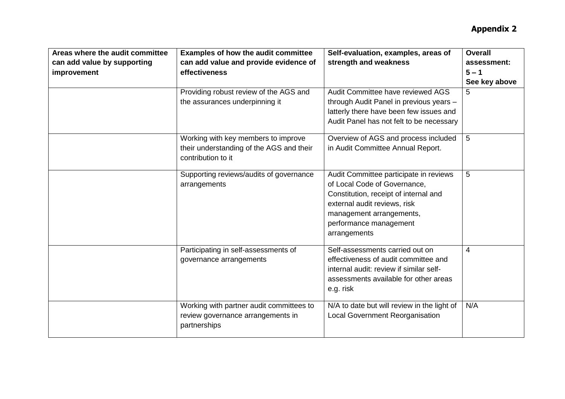| Areas where the audit committee<br>can add value by supporting<br>improvement | <b>Examples of how the audit committee</b><br>can add value and provide evidence of<br>effectiveness  | Self-evaluation, examples, areas of<br>strength and weakness                                                                                                                                                          | <b>Overall</b><br>assessment:<br>$5 - 1$<br>See key above |
|-------------------------------------------------------------------------------|-------------------------------------------------------------------------------------------------------|-----------------------------------------------------------------------------------------------------------------------------------------------------------------------------------------------------------------------|-----------------------------------------------------------|
|                                                                               | Providing robust review of the AGS and<br>the assurances underpinning it                              | Audit Committee have reviewed AGS<br>through Audit Panel in previous years -<br>latterly there have been few issues and<br>Audit Panel has not felt to be necessary                                                   | 5.                                                        |
|                                                                               | Working with key members to improve<br>their understanding of the AGS and their<br>contribution to it | Overview of AGS and process included<br>in Audit Committee Annual Report.                                                                                                                                             | 5                                                         |
|                                                                               | Supporting reviews/audits of governance<br>arrangements                                               | Audit Committee participate in reviews<br>of Local Code of Governance,<br>Constitution, receipt of internal and<br>external audit reviews, risk<br>management arrangements,<br>performance management<br>arrangements | 5                                                         |
|                                                                               | Participating in self-assessments of<br>governance arrangements                                       | Self-assessments carried out on<br>effectiveness of audit committee and<br>internal audit: review if similar self-<br>assessments available for other areas<br>e.g. risk                                              | $\overline{4}$                                            |
|                                                                               | Working with partner audit committees to<br>review governance arrangements in<br>partnerships         | N/A to date but will review in the light of<br><b>Local Government Reorganisation</b>                                                                                                                                 | N/A                                                       |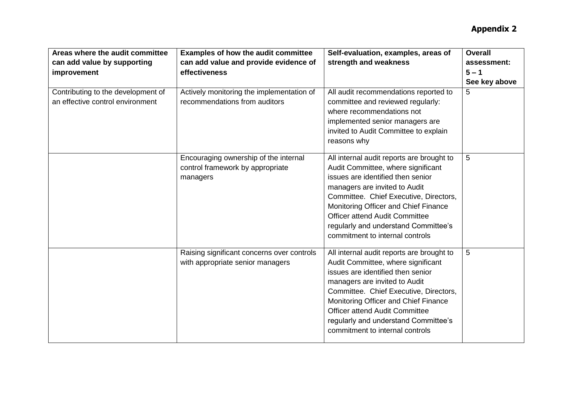| Areas where the audit committee<br>can add value by supporting<br>improvement | <b>Examples of how the audit committee</b><br>can add value and provide evidence of<br>effectiveness | Self-evaluation, examples, areas of<br>strength and weakness                                                                                                                                                                                                                                                                                                | <b>Overall</b><br>assessment:<br>$5 - 1$<br>See key above |
|-------------------------------------------------------------------------------|------------------------------------------------------------------------------------------------------|-------------------------------------------------------------------------------------------------------------------------------------------------------------------------------------------------------------------------------------------------------------------------------------------------------------------------------------------------------------|-----------------------------------------------------------|
| Contributing to the development of<br>an effective control environment        | Actively monitoring the implementation of<br>recommendations from auditors                           | All audit recommendations reported to<br>committee and reviewed regularly:<br>where recommendations not<br>implemented senior managers are<br>invited to Audit Committee to explain<br>reasons why                                                                                                                                                          | 5                                                         |
|                                                                               | Encouraging ownership of the internal<br>control framework by appropriate<br>managers                | All internal audit reports are brought to<br>Audit Committee, where significant<br>issues are identified then senior<br>managers are invited to Audit<br>Committee. Chief Executive, Directors,<br>Monitoring Officer and Chief Finance<br><b>Officer attend Audit Committee</b><br>regularly and understand Committee's<br>commitment to internal controls | 5                                                         |
|                                                                               | Raising significant concerns over controls<br>with appropriate senior managers                       | All internal audit reports are brought to<br>Audit Committee, where significant<br>issues are identified then senior<br>managers are invited to Audit<br>Committee. Chief Executive, Directors,<br>Monitoring Officer and Chief Finance<br><b>Officer attend Audit Committee</b><br>regularly and understand Committee's<br>commitment to internal controls | 5                                                         |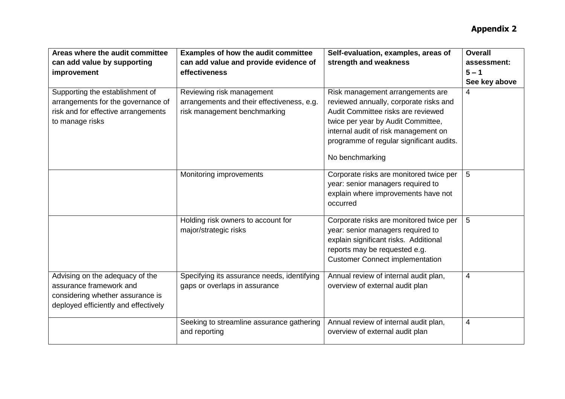| Areas where the audit committee      | <b>Examples of how the audit committee</b>  | Self-evaluation, examples, areas of      | <b>Overall</b> |
|--------------------------------------|---------------------------------------------|------------------------------------------|----------------|
| can add value by supporting          | can add value and provide evidence of       | strength and weakness                    | assessment:    |
|                                      | effectiveness                               |                                          | $5 - 1$        |
| improvement                          |                                             |                                          |                |
|                                      |                                             |                                          | See key above  |
| Supporting the establishment of      | Reviewing risk management                   | Risk management arrangements are         | 4              |
| arrangements for the governance of   | arrangements and their effectiveness, e.g.  | reviewed annually, corporate risks and   |                |
| risk and for effective arrangements  | risk management benchmarking                | Audit Committee risks are reviewed       |                |
| to manage risks                      |                                             | twice per year by Audit Committee,       |                |
|                                      |                                             | internal audit of risk management on     |                |
|                                      |                                             | programme of regular significant audits. |                |
|                                      |                                             | No benchmarking                          |                |
|                                      | Monitoring improvements                     | Corporate risks are monitored twice per  | 5              |
|                                      |                                             | year: senior managers required to        |                |
|                                      |                                             | explain where improvements have not      |                |
|                                      |                                             | occurred                                 |                |
|                                      |                                             |                                          |                |
|                                      | Holding risk owners to account for          | Corporate risks are monitored twice per  | 5              |
|                                      | major/strategic risks                       | year: senior managers required to        |                |
|                                      |                                             | explain significant risks. Additional    |                |
|                                      |                                             | reports may be requested e.g.            |                |
|                                      |                                             | <b>Customer Connect implementation</b>   |                |
|                                      |                                             |                                          |                |
| Advising on the adequacy of the      | Specifying its assurance needs, identifying | Annual review of internal audit plan,    | 4              |
| assurance framework and              | gaps or overlaps in assurance               | overview of external audit plan          |                |
| considering whether assurance is     |                                             |                                          |                |
| deployed efficiently and effectively |                                             |                                          |                |
|                                      |                                             |                                          |                |
|                                      | Seeking to streamline assurance gathering   | Annual review of internal audit plan,    | 4              |
|                                      | and reporting                               | overview of external audit plan          |                |
|                                      |                                             |                                          |                |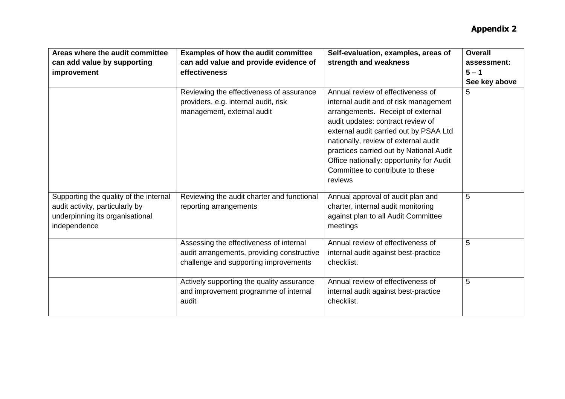| Areas where the audit committee<br>can add value by supporting<br>improvement                                                | Examples of how the audit committee<br>can add value and provide evidence of<br>effectiveness                                  | Self-evaluation, examples, areas of<br>strength and weakness                                                                                                                                                                                                                                                                                                                 | <b>Overall</b><br>assessment:<br>$5 - 1$<br>See key above |
|------------------------------------------------------------------------------------------------------------------------------|--------------------------------------------------------------------------------------------------------------------------------|------------------------------------------------------------------------------------------------------------------------------------------------------------------------------------------------------------------------------------------------------------------------------------------------------------------------------------------------------------------------------|-----------------------------------------------------------|
|                                                                                                                              | Reviewing the effectiveness of assurance<br>providers, e.g. internal audit, risk<br>management, external audit                 | Annual review of effectiveness of<br>internal audit and of risk management<br>arrangements. Receipt of external<br>audit updates: contract review of<br>external audit carried out by PSAA Ltd<br>nationally, review of external audit<br>practices carried out by National Audit<br>Office nationally: opportunity for Audit<br>Committee to contribute to these<br>reviews | 5                                                         |
| Supporting the quality of the internal<br>audit activity, particularly by<br>underpinning its organisational<br>independence | Reviewing the audit charter and functional<br>reporting arrangements                                                           | Annual approval of audit plan and<br>charter, internal audit monitoring<br>against plan to all Audit Committee<br>meetings                                                                                                                                                                                                                                                   | 5                                                         |
|                                                                                                                              | Assessing the effectiveness of internal<br>audit arrangements, providing constructive<br>challenge and supporting improvements | Annual review of effectiveness of<br>internal audit against best-practice<br>checklist.                                                                                                                                                                                                                                                                                      | 5                                                         |
|                                                                                                                              | Actively supporting the quality assurance<br>and improvement programme of internal<br>audit                                    | Annual review of effectiveness of<br>internal audit against best-practice<br>checklist.                                                                                                                                                                                                                                                                                      | 5                                                         |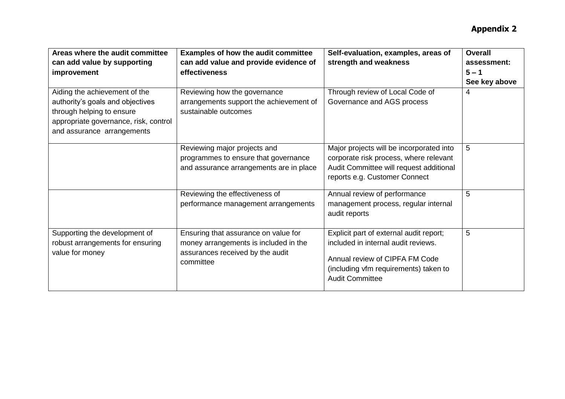| Areas where the audit committee<br>can add value by supporting<br>improvement                                                                                         | <b>Examples of how the audit committee</b><br>can add value and provide evidence of<br>effectiveness                           | Self-evaluation, examples, areas of<br>strength and weakness                                                                                                                        | <b>Overall</b><br>assessment:<br>$5 - 1$<br>See key above |
|-----------------------------------------------------------------------------------------------------------------------------------------------------------------------|--------------------------------------------------------------------------------------------------------------------------------|-------------------------------------------------------------------------------------------------------------------------------------------------------------------------------------|-----------------------------------------------------------|
| Aiding the achievement of the<br>authority's goals and objectives<br>through helping to ensure<br>appropriate governance, risk, control<br>and assurance arrangements | Reviewing how the governance<br>arrangements support the achievement of<br>sustainable outcomes                                | Through review of Local Code of<br>Governance and AGS process                                                                                                                       | 4                                                         |
|                                                                                                                                                                       | Reviewing major projects and<br>programmes to ensure that governance<br>and assurance arrangements are in place                | Major projects will be incorporated into<br>corporate risk process, where relevant<br>Audit Committee will request additional<br>reports e.g. Customer Connect                      | 5                                                         |
|                                                                                                                                                                       | Reviewing the effectiveness of<br>performance management arrangements                                                          | Annual review of performance<br>management process, regular internal<br>audit reports                                                                                               | 5                                                         |
| Supporting the development of<br>robust arrangements for ensuring<br>value for money                                                                                  | Ensuring that assurance on value for<br>money arrangements is included in the<br>assurances received by the audit<br>committee | Explicit part of external audit report;<br>included in internal audit reviews.<br>Annual review of CIPFA FM Code<br>(including vfm requirements) taken to<br><b>Audit Committee</b> | 5                                                         |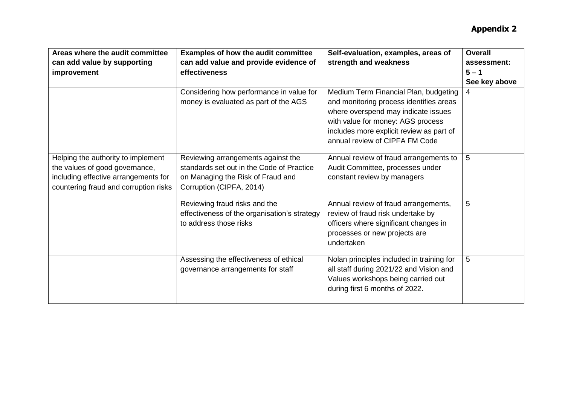| Areas where the audit committee<br>can add value by supporting<br>improvement                                                                         | <b>Examples of how the audit committee</b><br>can add value and provide evidence of<br>effectiveness<br>Considering how performance in value for<br>money is evaluated as part of the AGS | Self-evaluation, examples, areas of<br>strength and weakness<br>Medium Term Financial Plan, budgeting<br>and monitoring process identifies areas                  | <b>Overall</b><br>assessment:<br>$5 - 1$<br>See key above<br>4 |
|-------------------------------------------------------------------------------------------------------------------------------------------------------|-------------------------------------------------------------------------------------------------------------------------------------------------------------------------------------------|-------------------------------------------------------------------------------------------------------------------------------------------------------------------|----------------------------------------------------------------|
|                                                                                                                                                       |                                                                                                                                                                                           | where overspend may indicate issues<br>with value for money: AGS process<br>includes more explicit review as part of<br>annual review of CIPFA FM Code            |                                                                |
| Helping the authority to implement<br>the values of good governance,<br>including effective arrangements for<br>countering fraud and corruption risks | Reviewing arrangements against the<br>standards set out in the Code of Practice<br>on Managing the Risk of Fraud and<br>Corruption (CIPFA, 2014)                                          | Annual review of fraud arrangements to<br>Audit Committee, processes under<br>constant review by managers                                                         | 5                                                              |
|                                                                                                                                                       | Reviewing fraud risks and the<br>effectiveness of the organisation's strategy<br>to address those risks                                                                                   | Annual review of fraud arrangements,<br>review of fraud risk undertake by<br>officers where significant changes in<br>processes or new projects are<br>undertaken | 5                                                              |
|                                                                                                                                                       | Assessing the effectiveness of ethical<br>governance arrangements for staff                                                                                                               | Nolan principles included in training for<br>all staff during 2021/22 and Vision and<br>Values workshops being carried out<br>during first 6 months of 2022.      | 5                                                              |